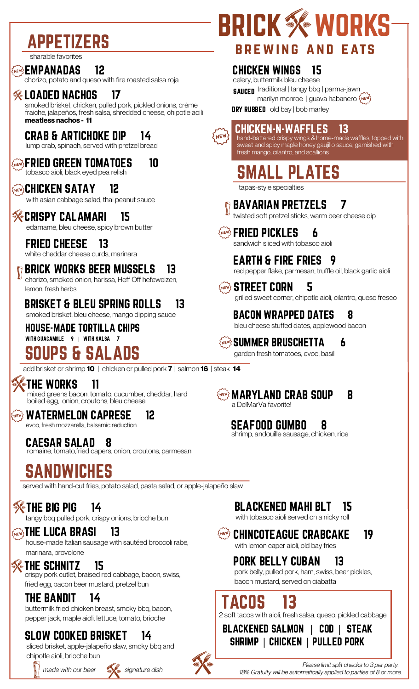# APPETIZERS

sharable favorites

#### ଭଭ} EMPANADAS 12

chorizo, potato and queso with fire roasted salsa roja

#### $\%$  loaded nachos  $\,$  17  $\,$

smoked brisket, chicken, pulled pork, pickled onions, crème fraiche, jalapeños, fresh salsa, shredded cheese, chipotle aoili **meatless nachos - 11**

### CRAB & ARTICHOKE DIP 14

lump crab, spinach, served with pretzel bread

### **KNEWS FRIED GREEN TOMATOES 10**

tobasco aioli, black eyed pea relish

#### **GREW'S CHICKEN SATAY 12**

with asian cabbage salad, thai peanut sauce

### **KERISPY CALAMARI** 15

edamame, bleu cheese, spicy brown butter

#### FRIED CHEESE 13

white cheddar cheese curds, marinara

### BRICK WORKS BEER MUSSELS 13

chorizo, smoked onion, harissa, Heff Off hefeweizen, lemon, fresh herbs

BRISKET & BLEU SPRING ROLLS 13 smoked brisket, bleu cheese, mango dipping sauce

#### HOUSE-MADE TORTILLA CHIPS WITH GUACAMOLE 9 | WITH SALSA 7 SOUPS & SALADS

add brisket or shrimp **10** | chicken or pulled pork **7** | salmon **16** | steak **14**

THE WORKS 11 mixed greens bacon, tomato, cucumber, cheddar, hard boiled egg, onion, croutons, bleu cheese

<u>WATERMELON CAPRESE</u> 12 evoo, fresh mozzarella, balsamic reduction

CAESAR SALAD 8 romaine, tomato,fried capers, onion, croutons, parmesan

# SANDWICHES

served with hand-cut fries, potato salad, pasta salad, or apple-jalapeño slaw

### $\frac{2}{3}$  The Big Pig 14

tangy bbq pulled pork, crispy onions, brioche bun

#### $\mathbb{C}\widetilde{\mathbb{C}}$  of the luca brasi  $13$

house-made Italian sausage with sautéed broccoli rabe, marinara, provolone

### **We THE SCHNITZ** 15

crispy pork cutlet, braised red cabbage, bacon, swiss, fried egg, bacon beer mustard, pretzel bun

### THE BANDIT 14

buttermilk fried chicken breast, smoky bbq, bacon, pepper jack, maple aioli, lettuce, tomato, brioche

### SLOW COOKED BRISKET 14

sliced brisket, apple-jalapeño slaw, smoky bbq and chipotle aioli, brioche bun





# **BRICK X WORKS BREWING AND EATS**

### CHICKEN WINGS 15

celery, buttermilk bleu cheese SAUCED traditional | tangy bbq | parma-jawn marilyn monroe | guava habanero {NEW}

**DRY RUBBED** old bay | bob marley



#### CHICKEN-N-WAFFLES 13 hand-battered crispy wings & home-made waffles, topped with

sweet and spicy maple honey gaujillo sauce, garnished with fresh mango, cilantro, and scallions

SMALL PLATES

tapas-style specialties

BAVARIAN PRETZELS 7

twisted soft pretzel sticks, warm beer cheese dip

દુષ્હર્ષ્ણ્ય **FRIED PICKLES 6** sandwich sliced with tobasco aioli

EARTH & FIRE FRIES 9 red pepper flake, parmesan, truffle oil, black garlic aioli

**STREET CORN 5** grilled sweet corner, chipotle aioli, cilantro, queso fresco

#### BACON WRAPPED DATES 8 bleu cheese stuffed dates, applewood bacon

snew3 SUMMER BRUSCHETTA 6 garden fresh tomatoes, evoo, basil



### $\{$ New $\}$  MARYLAND CRAB SOUP  $-$  8

a DelMarVa favorite!

### SEAFOOD GUMBO 8

shrimp, andouille sausage, chicken, rice

### BLACKENED MAHI BLT 15

with tobasco aioli served on a nicky roll

### <u>Wey</u> Chincoteague Crabcake 19

with lemon caper aioli, old bay fries

### PORK BELLY CUBAN 13

pork belly, pulled pork, ham, swiss, beer pickles, bacon mustard, served on ciabatta

# ACOS 13

2 soft tacos with aioli, fresh salsa, queso, pickled cabbage

BLACKENED SALMON | COD | STEAK SHRIMP | CHICKEN | PULLED PORK